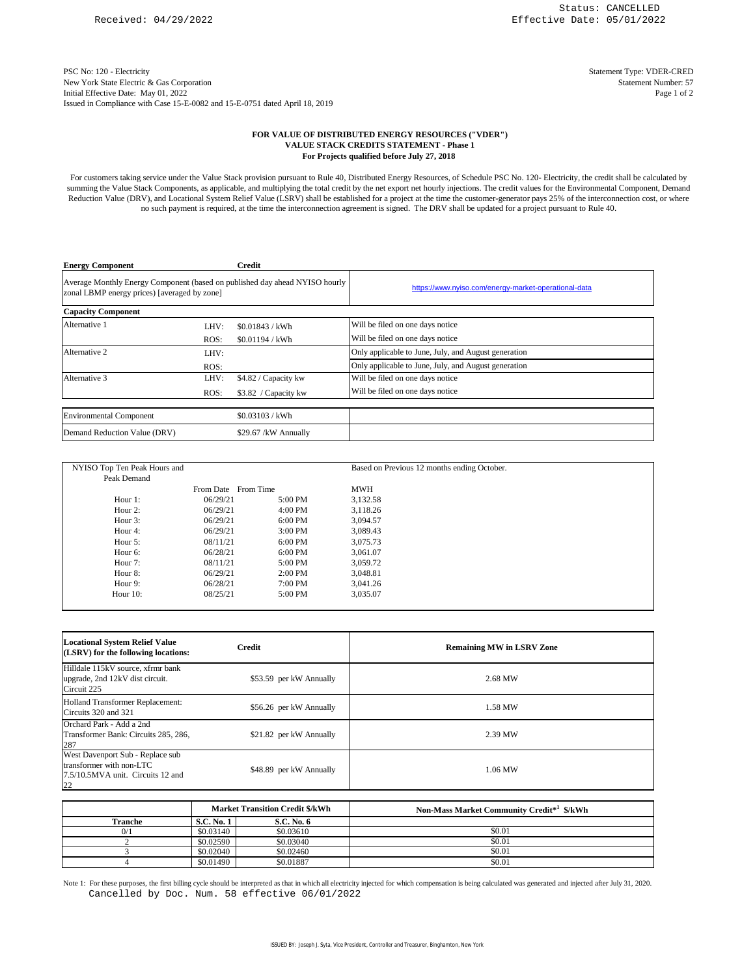PSC No: 120 - Electricity Statement Type: VDER-CRED New York State Electric & Gas Corporation Issued in Compliance with Case 15-E-0082 and 15-E-0751 dated April 18, 2019 Initial Effective Date: May 01, 2022

Page 1 of 2 Statement Number: 57

## **FOR VALUE OF DISTRIBUTED ENERGY RESOURCES ("VDER") VALUE STACK CREDITS STATEMENT - Phase 1 For Projects qualified before July 27, 2018**

For customers taking service under the Value Stack provision pursuant to Rule 40, Distributed Energy Resources, of Schedule PSC No. 120- Electricity, the credit shall be calculated by summing the Value Stack Components, as applicable, and multiplying the total credit by the net export net hourly injections. The credit values for the Environmental Component, Demand Reduction Value (DRV), and Locational System Relief Value (LSRV) shall be established for a project at the time the customer-generator pays 25% of the interconnection cost, or where no such payment is required, at the time the interconnection agreement is signed. The DRV shall be updated for a project pursuant to Rule 40.

| <b>Energy Component</b>                                                                                                     |      | Credit               |                                                      |
|-----------------------------------------------------------------------------------------------------------------------------|------|----------------------|------------------------------------------------------|
| Average Monthly Energy Component (based on published day ahead NYISO hourly<br>zonal LBMP energy prices) [averaged by zone] |      |                      | https://www.nyiso.com/energy-market-operational-data |
| <b>Capacity Component</b>                                                                                                   |      |                      |                                                      |
| Alternative 1                                                                                                               | LHV: | \$0.01843 / kWh      | Will be filed on one days notice                     |
|                                                                                                                             | ROS: | \$0.01194 / kWh      | Will be filed on one days notice                     |
| Alternative 2                                                                                                               | LHV: |                      | Only applicable to June, July, and August generation |
|                                                                                                                             | ROS: |                      | Only applicable to June, July, and August generation |
| Alternative 3                                                                                                               | LHV: | \$4.82 / Capacity kw | Will be filed on one days notice                     |
|                                                                                                                             | ROS: | \$3.82 / Capacity kw | Will be filed on one days notice                     |
| <b>Environmental Component</b>                                                                                              |      | \$0.03103/kWh        |                                                      |
| Demand Reduction Value (DRV)                                                                                                |      | \$29.67 /kW Annually |                                                      |

| NYISO Top Ten Peak Hours and |                     |           | Based on Previous 12 months ending October. |  |
|------------------------------|---------------------|-----------|---------------------------------------------|--|
| Peak Demand                  |                     |           |                                             |  |
|                              | From Date From Time |           | <b>MWH</b>                                  |  |
| Hour 1:                      | 06/29/21            | 5:00 PM   | 3.132.58                                    |  |
| Hour 2:                      | 06/29/21            | 4:00 PM   | 3.118.26                                    |  |
| Hour 3:                      | 06/29/21            | $6:00$ PM | 3,094.57                                    |  |
| Hour 4:                      | 06/29/21            | 3:00 PM   | 3,089.43                                    |  |
| Hour $5$ :                   | 08/11/21            | $6:00$ PM | 3.075.73                                    |  |
| Hour 6:                      | 06/28/21            | $6:00$ PM | 3.061.07                                    |  |
| Hour 7:                      | 08/11/21            | 5:00 PM   | 3.059.72                                    |  |
| Hour 8:                      | 06/29/21            | $2:00$ PM | 3.048.81                                    |  |
| Hour 9:                      | 06/28/21            | 7:00 PM   | 3.041.26                                    |  |
| Hour $10$ :                  | 08/25/21            | 5:00 PM   | 3,035.07                                    |  |
|                              |                     |           |                                             |  |

| <b>Locational System Relief Value</b><br>(LSRV) for the following locations:                            | <b>Credit</b>           | <b>Remaining MW in LSRV Zone</b> |
|---------------------------------------------------------------------------------------------------------|-------------------------|----------------------------------|
| Hilldale 115kV source, xfrmr bank<br>upgrade, 2nd 12kV dist circuit.<br>Circuit 225                     | \$53.59 per kW Annually | 2.68 MW                          |
| Holland Transformer Replacement:<br>Circuits 320 and 321                                                | \$56.26 per kW Annually | 1.58 MW                          |
| Orchard Park - Add a 2nd<br>Transformer Bank: Circuits 285, 286,<br>287                                 | \$21.82 per kW Annually | 2.39 MW                          |
| West Davenport Sub - Replace sub<br>transformer with non-LTC<br>7.5/10.5MVA unit. Circuits 12 and<br>22 | \$48.89 per kW Annually | 1.06 MW                          |

|          | <b>Market Transition Credit \$/kWh</b> |            | Non-Mass Market Community Credit*1 \$/kWh |
|----------|----------------------------------------|------------|-------------------------------------------|
| Tranche  | <b>S.C. No. 1</b>                      | S.C. No. 6 |                                           |
| $_{0/1}$ | \$0.03140                              | \$0.03610  | \$0.01                                    |
|          | \$0.02590                              | \$0.03040  | \$0.01                                    |
|          | \$0.02040                              | \$0.02460  | \$0.01                                    |
|          | \$0.01490                              | \$0.01887  | \$0.01                                    |

Note 1: For these purposes, the first billing cycle should be interpreted as that in which all electricity injected for which compensation is being calculated was generated and injected after July 31, 2020. Cancelled by Doc. Num. 58 effective 06/01/2022